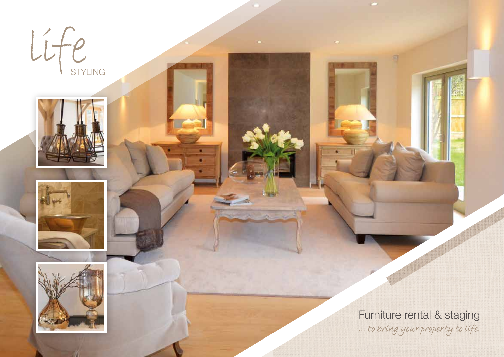







Furniture rental & staging *… to bring your property to life.*

**CO**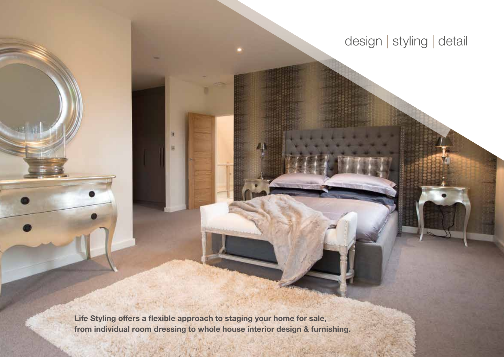# design | styling | detail

**Life Styling offers a flexible approach to staging your home for sale, from individual room dressing to whole house interior design & furnishing.**

n

E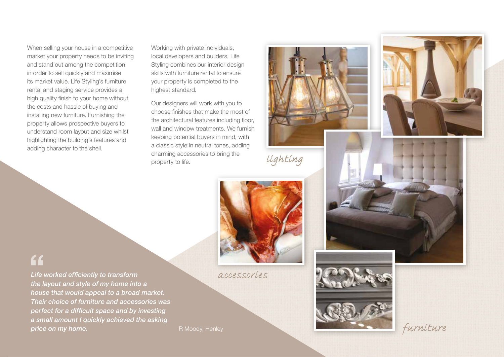When selling your house in a competitive market your property needs to be inviting and stand out among the competition in order to sell quickly and maximise its market value. Life Styling's furniture rental and staging service provides a high quality finish to your home without the costs and hassle of buying and installing new furniture. Furnishing the property allows prospective buyers to understand room layout and size whilst highlighting the building's features and adding character to the shell.

Working with private individuals, local developers and builders, Life Styling combines our interior design skills with furniture rental to ensure your property is completed to the highest standard.

Our designers will work with you to choose finishes that make the most of the architectural features including floor, wall and window treatments. We furnish keeping potential buyers in mind, with a classic style in neutral tones, adding charming accessories to bring the property to life.



*lighting*



*accessories*

 $66$ 

*Life worked efficiently to transform the layout and style of my home into a house that would appeal to a broad market. Their choice of furniture and accessories was perfect for a difficult space and by investing a small amount I quickly achieved the asking*  **price on my home. R Moody, Henley R Moody, Henley**